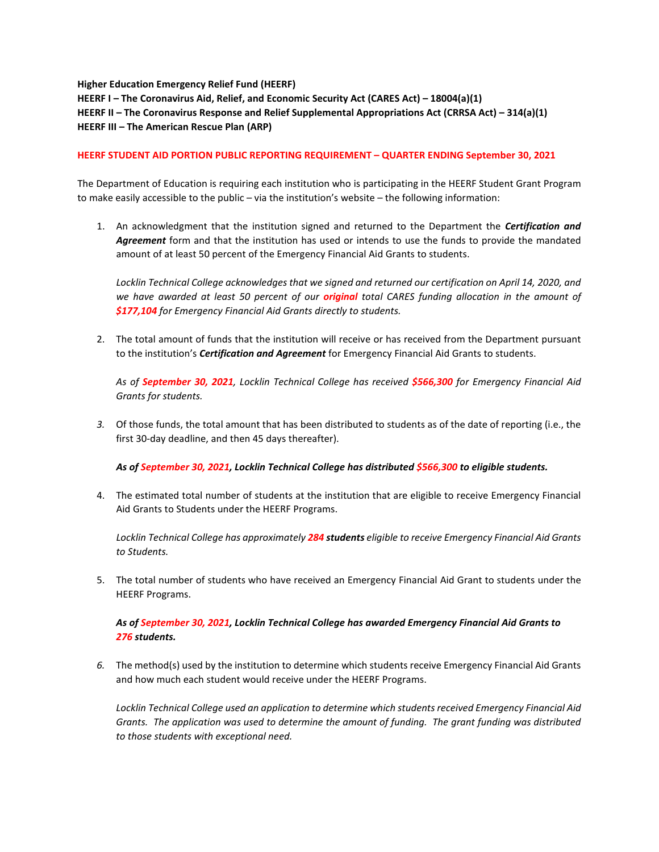**Higher Education Emergency Relief Fund (HEERF) HEERF I – The Coronavirus Aid, Relief, and Economic Security Act (CARES Act) – 18004(a)(1) HEERF II – The Coronavirus Response and Relief Supplemental Appropriations Act (CRRSA Act) – 314(a)(1) HEERF III – The American Rescue Plan (ARP)**

## **HEERF STUDENT AID PORTION PUBLIC REPORTING REQUIREMENT – QUARTER ENDING September 30, 2021**

The Department of Education is requiring each institution who is participating in the HEERF Student Grant Program to make easily accessible to the public – via the institution's website – the following information:

1. An acknowledgment that the institution signed and returned to the Department the *Certification and Agreement* form and that the institution has used or intends to use the funds to provide the mandated amount of at least 50 percent of the Emergency Financial Aid Grants to students.

*Locklin Technical College acknowledges that we signed and returned our certification on April 14, 2020, and we have awarded at least 50 percent of our original total CARES funding allocation in the amount of \$177,104 for Emergency Financial Aid Grants directly to students.*

2. The total amount of funds that the institution will receive or has received from the Department pursuant to the institution's *Certification and Agreement* for Emergency Financial Aid Grants to students.

*As of September 30, 2021, Locklin Technical College has received \$566,300 for Emergency Financial Aid Grants for students.*

*3.* Of those funds, the total amount that has been distributed to students as of the date of reporting (i.e., the first 30-day deadline, and then 45 days thereafter).

*As of September 30, 2021, Locklin Technical College has distributed \$566,300 to eligible students.* 

4. The estimated total number of students at the institution that are eligible to receive Emergency Financial Aid Grants to Students under the HEERF Programs.

*Locklin Technical College has approximately 284 students eligible to receive Emergency Financial Aid Grants to Students.* 

5. The total number of students who have received an Emergency Financial Aid Grant to students under the HEERF Programs.

## *As of September 30, 2021, Locklin Technical College has awarded Emergency Financial Aid Grants to 276 students.*

*6.* The method(s) used by the institution to determine which students receive Emergency Financial Aid Grants and how much each student would receive under the HEERF Programs.

*Locklin Technical College used an application to determine which students received Emergency Financial Aid Grants. The application was used to determine the amount of funding. The grant funding was distributed to those students with exceptional need.*